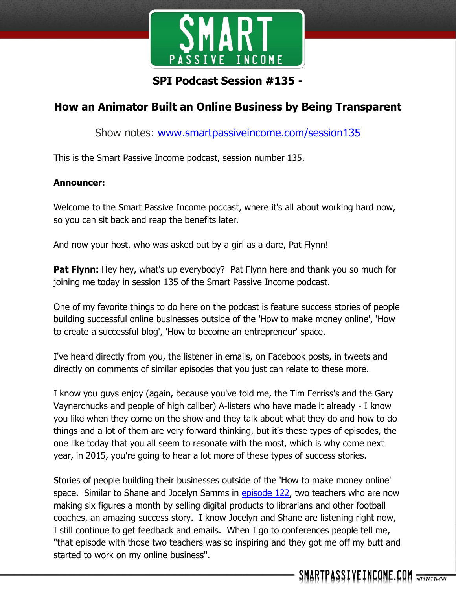

# **SPI Podcast Session #135 -**

# **How an Animator Built an Online Business by Being Transparent**

Show notes: [www.smartpassiveincome.com/session135](http://www.smartpassiveincome.com/session135)

This is the Smart Passive Income podcast, session number 135.

### **Announcer:**

Welcome to the Smart Passive Income podcast, where it's all about working hard now, so you can sit back and reap the benefits later.

And now your host, who was asked out by a girl as a dare, Pat Flynn!

**Pat Flynn:** Hey hey, what's up everybody? Pat Flynn here and thank you so much for joining me today in session 135 of the Smart Passive Income podcast.

One of my favorite things to do here on the podcast is feature success stories of people building successful online businesses outside of the 'How to make money online', 'How to create a successful blog', 'How to become an entrepreneur' space.

I've heard directly from you, the listener in emails, on Facebook posts, in tweets and directly on comments of similar episodes that you just can relate to these more.

I know you guys enjoy (again, because you've told me, the Tim Ferriss's and the Gary Vaynerchucks and people of high caliber) A-listers who have made it already - I know you like when they come on the show and they talk about what they do and how to do things and a lot of them are very forward thinking, but it's these types of episodes, the one like today that you all seem to resonate with the most, which is why come next year, in 2015, you're going to hear a lot more of these types of success stories.

Stories of people building their businesses outside of the 'How to make money online' space. Similar to Shane and Jocelyn Samms in [episode 122,](http://www.smartpassiveincome.com/teachers-online-business-shane-jocelyn-sams/) two teachers who are now making six figures a month by selling digital products to librarians and other football coaches, an amazing success story. I know Jocelyn and Shane are listening right now, I still continue to get feedback and emails. When I go to conferences people tell me, "that episode with those two teachers was so inspiring and they got me off my butt and started to work on my online business".

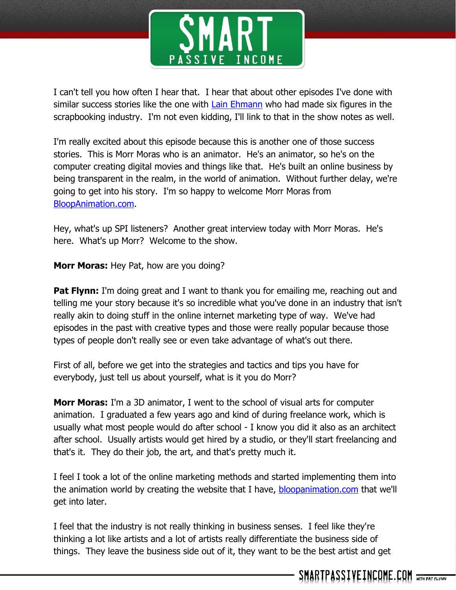

I can't tell you how often I hear that. I hear that about other episodes I've done with similar success stories like the one with [Lain Ehmann](http://www.smartpassiveincome.com/how-to-monetize-a-hobby/) who had made six figures in the scrapbooking industry. I'm not even kidding, I'll link to that in the show notes as well.

I'm really excited about this episode because this is another one of those success stories. This is Morr Moras who is an animator. He's an animator, so he's on the computer creating digital movies and things like that. He's built an online business by being transparent in the realm, in the world of animation. Without further delay, we're going to get into his story. I'm so happy to welcome Morr Moras from [BloopAnimation.com.](http://bloopanimation.com/)

Hey, what's up SPI listeners? Another great interview today with Morr Moras. He's here. What's up Morr? Welcome to the show.

**Morr Moras:** Hey Pat, how are you doing?

**Pat Flynn:** I'm doing great and I want to thank you for emailing me, reaching out and telling me your story because it's so incredible what you've done in an industry that isn't really akin to doing stuff in the online internet marketing type of way. We've had episodes in the past with creative types and those were really popular because those types of people don't really see or even take advantage of what's out there.

First of all, before we get into the strategies and tactics and tips you have for everybody, just tell us about yourself, what is it you do Morr?

**Morr Moras:** I'm a 3D animator, I went to the school of visual arts for computer animation. I graduated a few years ago and kind of during freelance work, which is usually what most people would do after school - I know you did it also as an architect after school. Usually artists would get hired by a studio, or they'll start freelancing and that's it. They do their job, the art, and that's pretty much it.

I feel I took a lot of the online marketing methods and started implementing them into the animation world by creating the website that I have, [bloopanimation.com](http://bloopanimation.com/) that we'll get into later.

I feel that the industry is not really thinking in business senses. I feel like they're thinking a lot like artists and a lot of artists really differentiate the business side of things. They leave the business side out of it, they want to be the best artist and get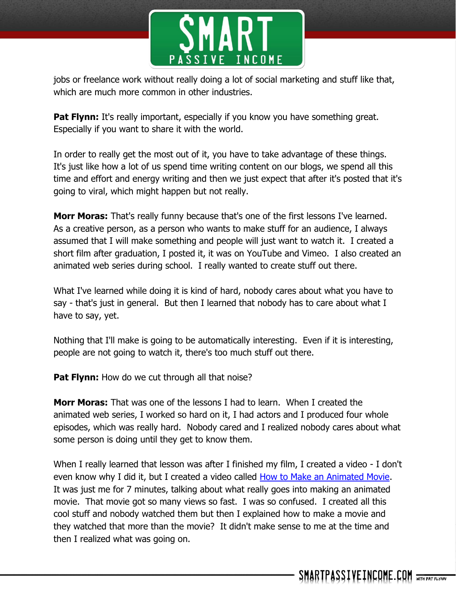

jobs or freelance work without really doing a lot of social marketing and stuff like that, which are much more common in other industries.

**Pat Flynn:** It's really important, especially if you know you have something great. Especially if you want to share it with the world.

In order to really get the most out of it, you have to take advantage of these things. It's just like how a lot of us spend time writing content on our blogs, we spend all this time and effort and energy writing and then we just expect that after it's posted that it's going to viral, which might happen but not really.

**Morr Moras:** That's really funny because that's one of the first lessons I've learned. As a creative person, as a person who wants to make stuff for an audience, I always assumed that I will make something and people will just want to watch it. I created a short film after graduation, I posted it, it was on YouTube and Vimeo. I also created an animated web series during school. I really wanted to create stuff out there.

What I've learned while doing it is kind of hard, nobody cares about what you have to say - that's just in general. But then I learned that nobody has to care about what I have to say, yet.

Nothing that I'll make is going to be automatically interesting. Even if it is interesting, people are not going to watch it, there's too much stuff out there.

**Pat Flynn:** How do we cut through all that noise?

**Morr Moras:** That was one of the lessons I had to learn. When I created the animated web series, I worked so hard on it, I had actors and I produced four whole episodes, which was really hard. Nobody cared and I realized nobody cares about what some person is doing until they get to know them.

When I really learned that lesson was after I finished my film, I created a video - I don't even know why I did it, but I created a video called [How to Make an Animated Movie.](http://www.bloopanimation.com/how-to-make-an-animated-movie/) It was just me for 7 minutes, talking about what really goes into making an animated movie. That movie got so many views so fast. I was so confused. I created all this cool stuff and nobody watched them but then I explained how to make a movie and they watched that more than the movie? It didn't make sense to me at the time and then I realized what was going on.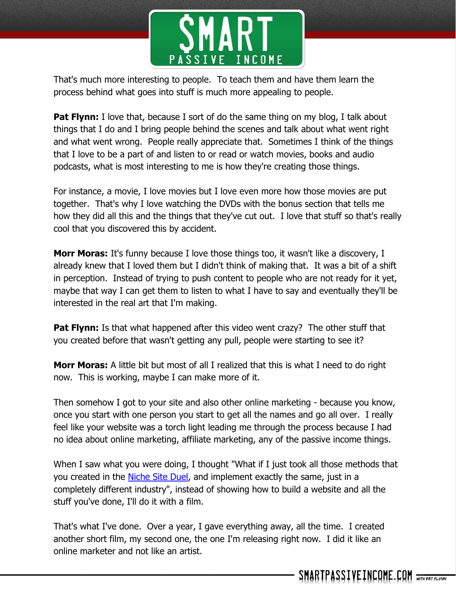

That's much more interesting to people. To teach them and have them learn the process behind what goes into stuff is much more appealing to people.

**Pat Flynn:** I love that, because I sort of do the same thing on my blog, I talk about things that I do and I bring people behind the scenes and talk about what went right and what went wrong. People really appreciate that. Sometimes I think of the things that I love to be a part of and listen to or read or watch movies, books and audio podcasts, what is most interesting to me is how they're creating those things.

For instance, a movie, I love movies but I love even more how those movies are put together. That's why I love watching the DVDs with the bonus section that tells me how they did all this and the things that they've cut out. I love that stuff so that's really cool that you discovered this by accident.

**Morr Moras:** It's funny because I love those things too, it wasn't like a discovery, I already knew that I loved them but I didn't think of making that. It was a bit of a shift in perception. Instead of trying to push content to people who are not ready for it yet, maybe that way I can get them to listen to what I have to say and eventually they'll be interested in the real art that I'm making.

**Pat Flynn:** Is that what happened after this video went crazy? The other stuff that you created before that wasn't getting any pull, people were starting to see it?

**Morr Moras:** A little bit but most of all I realized that this is what I need to do right now. This is working, maybe I can make more of it.

Then somehow I got to your site and also other online marketing - because you know, once you start with one person you start to get all the names and go all over. I really feel like your website was a torch light leading me through the process because I had no idea about online marketing, affiliate marketing, any of the passive income things.

When I saw what you were doing, I thought "What if I just took all those methods that you created in the [Niche Site Duel,](http://nichesiteduel.com/) and implement exactly the same, just in a completely different industry", instead of showing how to build a website and all the stuff you've done, I'll do it with a film.

That's what I've done. Over a year, I gave everything away, all the time. I created another short film, my second one, the one I'm releasing right now. I did it like an online marketer and not like an artist.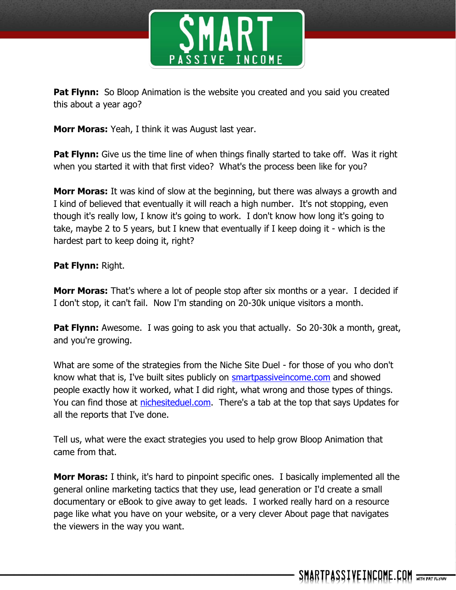

**Pat Flynn:** So Bloop Animation is the website you created and you said you created this about a year ago?

**Morr Moras:** Yeah, I think it was August last year.

**Pat Flynn:** Give us the time line of when things finally started to take off. Was it right when you started it with that first video? What's the process been like for you?

**Morr Moras:** It was kind of slow at the beginning, but there was always a growth and I kind of believed that eventually it will reach a high number. It's not stopping, even though it's really low, I know it's going to work. I don't know how long it's going to take, maybe 2 to 5 years, but I knew that eventually if I keep doing it - which is the hardest part to keep doing it, right?

### **Pat Flynn:** Right.

**Morr Moras:** That's where a lot of people stop after six months or a year. I decided if I don't stop, it can't fail. Now I'm standing on 20-30k unique visitors a month.

**Pat Flynn:** Awesome. I was going to ask you that actually. So 20-30k a month, great, and you're growing.

What are some of the strategies from the Niche Site Duel - for those of you who don't know what that is, I've built sites publicly on [smartpassiveincome.com](http://smartpassiveincome.com/) and showed people exactly how it worked, what I did right, what wrong and those types of things. You can find those at [nichesiteduel.com.](http://nichesiteduel.com/) There's a tab at the top that says Updates for all the reports that I've done.

Tell us, what were the exact strategies you used to help grow Bloop Animation that came from that.

**Morr Moras:** I think, it's hard to pinpoint specific ones. I basically implemented all the general online marketing tactics that they use, lead generation or I'd create a small documentary or eBook to give away to get leads. I worked really hard on a resource page like what you have on your website, or a very clever About page that navigates the viewers in the way you want.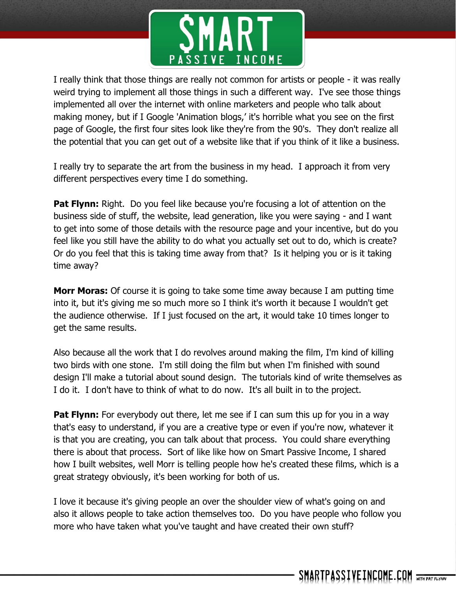

I really think that those things are really not common for artists or people - it was really weird trying to implement all those things in such a different way. I've see those things implemented all over the internet with online marketers and people who talk about making money, but if I Google 'Animation blogs,' it's horrible what you see on the first page of Google, the first four sites look like they're from the 90's. They don't realize all the potential that you can get out of a website like that if you think of it like a business.

I really try to separate the art from the business in my head. I approach it from very different perspectives every time I do something.

**Pat Flynn:** Right. Do you feel like because you're focusing a lot of attention on the business side of stuff, the website, lead generation, like you were saying - and I want to get into some of those details with the resource page and your incentive, but do you feel like you still have the ability to do what you actually set out to do, which is create? Or do you feel that this is taking time away from that? Is it helping you or is it taking time away?

**Morr Moras:** Of course it is going to take some time away because I am putting time into it, but it's giving me so much more so I think it's worth it because I wouldn't get the audience otherwise. If I just focused on the art, it would take 10 times longer to get the same results.

Also because all the work that I do revolves around making the film, I'm kind of killing two birds with one stone. I'm still doing the film but when I'm finished with sound design I'll make a tutorial about sound design. The tutorials kind of write themselves as I do it. I don't have to think of what to do now. It's all built in to the project.

**Pat Flynn:** For everybody out there, let me see if I can sum this up for you in a way that's easy to understand, if you are a creative type or even if you're now, whatever it is that you are creating, you can talk about that process. You could share everything there is about that process. Sort of like like how on Smart Passive Income, I shared how I built websites, well Morr is telling people how he's created these films, which is a great strategy obviously, it's been working for both of us.

I love it because it's giving people an over the shoulder view of what's going on and also it allows people to take action themselves too. Do you have people who follow you more who have taken what you've taught and have created their own stuff?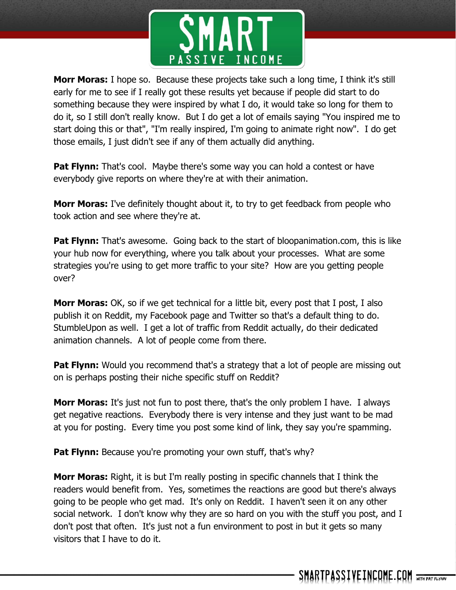

**Morr Moras:** I hope so. Because these projects take such a long time, I think it's still early for me to see if I really got these results yet because if people did start to do something because they were inspired by what I do, it would take so long for them to do it, so I still don't really know. But I do get a lot of emails saying "You inspired me to start doing this or that", "I'm really inspired, I'm going to animate right now". I do get those emails, I just didn't see if any of them actually did anything.

**Pat Flynn:** That's cool. Maybe there's some way you can hold a contest or have everybody give reports on where they're at with their animation.

**Morr Moras:** I've definitely thought about it, to try to get feedback from people who took action and see where they're at.

**Pat Flynn:** That's awesome. Going back to the start of bloopanimation.com, this is like your hub now for everything, where you talk about your processes. What are some strategies you're using to get more traffic to your site? How are you getting people over?

**Morr Moras:** OK, so if we get technical for a little bit, every post that I post, I also publish it on Reddit, my Facebook page and Twitter so that's a default thing to do. StumbleUpon as well. I get a lot of traffic from Reddit actually, do their dedicated animation channels. A lot of people come from there.

**Pat Flynn:** Would you recommend that's a strategy that a lot of people are missing out on is perhaps posting their niche specific stuff on Reddit?

**Morr Moras:** It's just not fun to post there, that's the only problem I have. I always get negative reactions. Everybody there is very intense and they just want to be mad at you for posting. Every time you post some kind of link, they say you're spamming.

**Pat Flynn:** Because you're promoting your own stuff, that's why?

**Morr Moras:** Right, it is but I'm really posting in specific channels that I think the readers would benefit from. Yes, sometimes the reactions are good but there's always going to be people who get mad. It's only on Reddit. I haven't seen it on any other social network. I don't know why they are so hard on you with the stuff you post, and I don't post that often. It's just not a fun environment to post in but it gets so many visitors that I have to do it.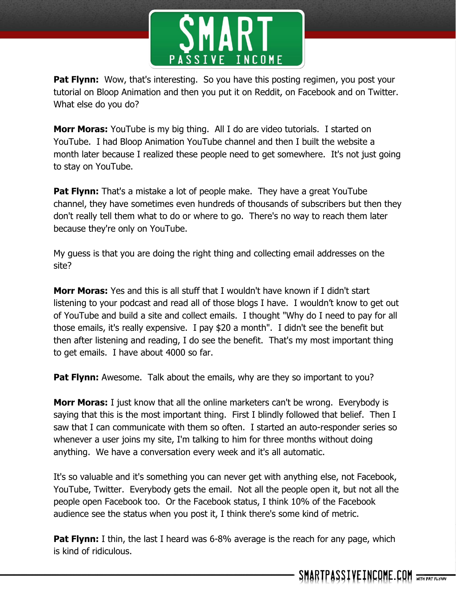

**Pat Flynn:** Wow, that's interesting. So you have this posting regimen, you post your tutorial on Bloop Animation and then you put it on Reddit, on Facebook and on Twitter. What else do you do?

**Morr Moras:** YouTube is my big thing. All I do are video tutorials. I started on YouTube. I had Bloop Animation YouTube channel and then I built the website a month later because I realized these people need to get somewhere. It's not just going to stay on YouTube.

**Pat Flynn:** That's a mistake a lot of people make. They have a great YouTube channel, they have sometimes even hundreds of thousands of subscribers but then they don't really tell them what to do or where to go. There's no way to reach them later because they're only on YouTube.

My guess is that you are doing the right thing and collecting email addresses on the site?

**Morr Moras:** Yes and this is all stuff that I wouldn't have known if I didn't start listening to your podcast and read all of those blogs I have. I wouldn't know to get out of YouTube and build a site and collect emails. I thought "Why do I need to pay for all those emails, it's really expensive. I pay \$20 a month". I didn't see the benefit but then after listening and reading, I do see the benefit. That's my most important thing to get emails. I have about 4000 so far.

**Pat Flynn:** Awesome. Talk about the emails, why are they so important to you?

**Morr Moras:** I just know that all the online marketers can't be wrong. Everybody is saying that this is the most important thing. First I blindly followed that belief. Then I saw that I can communicate with them so often. I started an auto-responder series so whenever a user joins my site, I'm talking to him for three months without doing anything. We have a conversation every week and it's all automatic.

It's so valuable and it's something you can never get with anything else, not Facebook, YouTube, Twitter. Everybody gets the email. Not all the people open it, but not all the people open Facebook too. Or the Facebook status, I think 10% of the Facebook audience see the status when you post it, I think there's some kind of metric.

**Pat Flynn:** I thin, the last I heard was 6-8% average is the reach for any page, which is kind of ridiculous.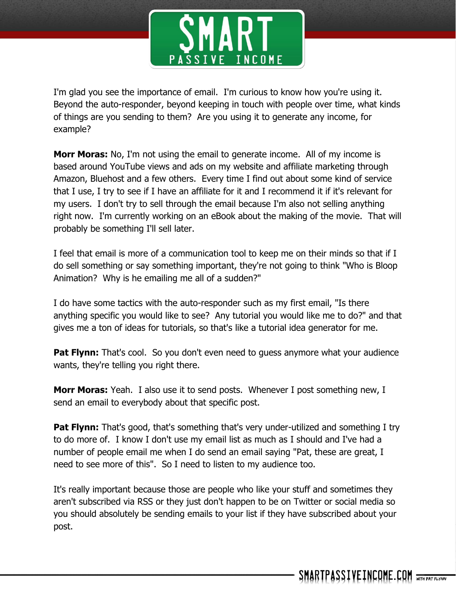

I'm glad you see the importance of email. I'm curious to know how you're using it. Beyond the auto-responder, beyond keeping in touch with people over time, what kinds of things are you sending to them? Are you using it to generate any income, for example?

**Morr Moras:** No, I'm not using the email to generate income. All of my income is based around YouTube views and ads on my website and affiliate marketing through Amazon, Bluehost and a few others. Every time I find out about some kind of service that I use, I try to see if I have an affiliate for it and I recommend it if it's relevant for my users. I don't try to sell through the email because I'm also not selling anything right now. I'm currently working on an eBook about the making of the movie. That will probably be something I'll sell later.

I feel that email is more of a communication tool to keep me on their minds so that if I do sell something or say something important, they're not going to think "Who is Bloop Animation? Why is he emailing me all of a sudden?"

I do have some tactics with the auto-responder such as my first email, "Is there anything specific you would like to see? Any tutorial you would like me to do?" and that gives me a ton of ideas for tutorials, so that's like a tutorial idea generator for me.

**Pat Flynn:** That's cool. So you don't even need to quess anymore what your audience wants, they're telling you right there.

**Morr Moras:** Yeah. I also use it to send posts. Whenever I post something new, I send an email to everybody about that specific post.

**Pat Flynn:** That's good, that's something that's very under-utilized and something I try to do more of. I know I don't use my email list as much as I should and I've had a number of people email me when I do send an email saying "Pat, these are great, I need to see more of this". So I need to listen to my audience too.

It's really important because those are people who like your stuff and sometimes they aren't subscribed via RSS or they just don't happen to be on Twitter or social media so you should absolutely be sending emails to your list if they have subscribed about your post.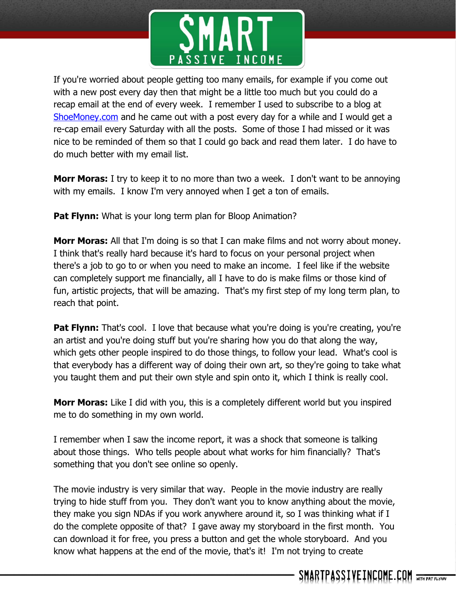

If you're worried about people getting too many emails, for example if you come out with a new post every day then that might be a little too much but you could do a recap email at the end of every week. I remember I used to subscribe to a blog at [ShoeMoney.com](http://shoemoney.com/) and he came out with a post every day for a while and I would get a re-cap email every Saturday with all the posts. Some of those I had missed or it was nice to be reminded of them so that I could go back and read them later. I do have to do much better with my email list.

**Morr Moras:** I try to keep it to no more than two a week. I don't want to be annoying with my emails. I know I'm very annoyed when I get a ton of emails.

**Pat Flynn:** What is your long term plan for Bloop Animation?

**Morr Moras:** All that I'm doing is so that I can make films and not worry about money. I think that's really hard because it's hard to focus on your personal project when there's a job to go to or when you need to make an income. I feel like if the website can completely support me financially, all I have to do is make films or those kind of fun, artistic projects, that will be amazing. That's my first step of my long term plan, to reach that point.

**Pat Flynn:** That's cool. I love that because what you're doing is you're creating, you're an artist and you're doing stuff but you're sharing how you do that along the way, which gets other people inspired to do those things, to follow your lead. What's cool is that everybody has a different way of doing their own art, so they're going to take what you taught them and put their own style and spin onto it, which I think is really cool.

**Morr Moras:** Like I did with you, this is a completely different world but you inspired me to do something in my own world.

I remember when I saw the income report, it was a shock that someone is talking about those things. Who tells people about what works for him financially? That's something that you don't see online so openly.

The movie industry is very similar that way. People in the movie industry are really trying to hide stuff from you. They don't want you to know anything about the movie, they make you sign NDAs if you work anywhere around it, so I was thinking what if I do the complete opposite of that? I gave away my storyboard in the first month. You can download it for free, you press a button and get the whole storyboard. And you know what happens at the end of the movie, that's it! I'm not trying to create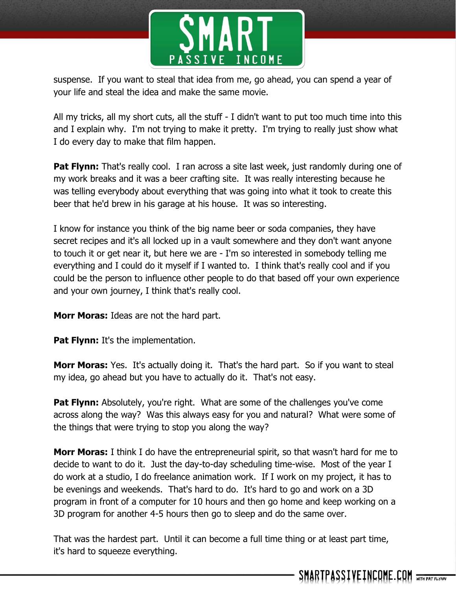

suspense. If you want to steal that idea from me, go ahead, you can spend a year of your life and steal the idea and make the same movie.

All my tricks, all my short cuts, all the stuff - I didn't want to put too much time into this and I explain why. I'm not trying to make it pretty. I'm trying to really just show what I do every day to make that film happen.

**Pat Flynn:** That's really cool. I ran across a site last week, just randomly during one of my work breaks and it was a beer crafting site. It was really interesting because he was telling everybody about everything that was going into what it took to create this beer that he'd brew in his garage at his house. It was so interesting.

I know for instance you think of the big name beer or soda companies, they have secret recipes and it's all locked up in a vault somewhere and they don't want anyone to touch it or get near it, but here we are - I'm so interested in somebody telling me everything and I could do it myself if I wanted to. I think that's really cool and if you could be the person to influence other people to do that based off your own experience and your own journey, I think that's really cool.

**Morr Moras:** Ideas are not the hard part.

**Pat Flynn:** It's the implementation.

**Morr Moras:** Yes. It's actually doing it. That's the hard part. So if you want to steal my idea, go ahead but you have to actually do it. That's not easy.

**Pat Flynn:** Absolutely, you're right. What are some of the challenges you've come across along the way? Was this always easy for you and natural? What were some of the things that were trying to stop you along the way?

**Morr Moras:** I think I do have the entrepreneurial spirit, so that wasn't hard for me to decide to want to do it. Just the day-to-day scheduling time-wise. Most of the year I do work at a studio, I do freelance animation work. If I work on my project, it has to be evenings and weekends. That's hard to do. It's hard to go and work on a 3D program in front of a computer for 10 hours and then go home and keep working on a 3D program for another 4-5 hours then go to sleep and do the same over.

That was the hardest part. Until it can become a full time thing or at least part time, it's hard to squeeze everything.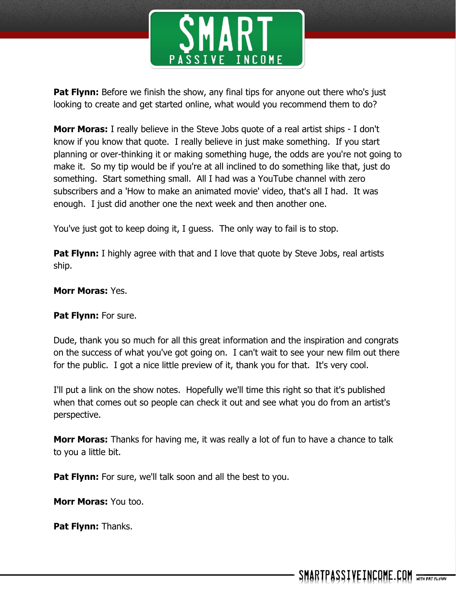

**Pat Flynn:** Before we finish the show, any final tips for anyone out there who's just looking to create and get started online, what would you recommend them to do?

**Morr Moras:** I really believe in the Steve Jobs quote of a real artist ships - I don't know if you know that quote. I really believe in just make something. If you start planning or over-thinking it or making something huge, the odds are you're not going to make it. So my tip would be if you're at all inclined to do something like that, just do something. Start something small. All I had was a YouTube channel with zero subscribers and a 'How to make an animated movie' video, that's all I had. It was enough. I just did another one the next week and then another one.

You've just got to keep doing it, I guess. The only way to fail is to stop.

**Pat Flynn:** I highly agree with that and I love that quote by Steve Jobs, real artists ship.

#### **Morr Moras:** Yes.

#### **Pat Flynn:** For sure.

Dude, thank you so much for all this great information and the inspiration and congrats on the success of what you've got going on. I can't wait to see your new film out there for the public. I got a nice little preview of it, thank you for that. It's very cool.

I'll put a link on the show notes. Hopefully we'll time this right so that it's published when that comes out so people can check it out and see what you do from an artist's perspective.

**Morr Moras:** Thanks for having me, it was really a lot of fun to have a chance to talk to you a little bit.

**Pat Flynn:** For sure, we'll talk soon and all the best to you.

**Morr Moras:** You too.

**Pat Flynn:** Thanks.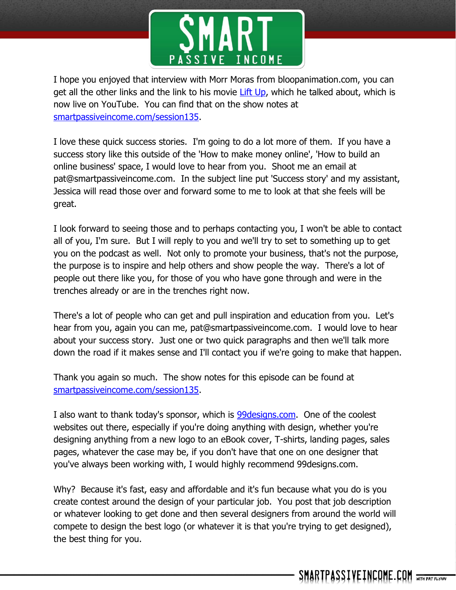

I hope you enjoyed that interview with Morr Moras from bloopanimation.com, you can get all the other links and the link to his movie [Lift Up,](https://www.youtube.com/watch?v=3WRQJyRFriI) which he talked about, which is now live on YouTube. You can find that on the show notes at [smartpassiveincome.com/session135.](http://smartpassiveincome.com/session135)

I love these quick success stories. I'm going to do a lot more of them. If you have a success story like this outside of the 'How to make money online', 'How to build an online business' space, I would love to hear from you. Shoot me an email at pat@smartpassiveincome.com. In the subject line put 'Success story' and my assistant, Jessica will read those over and forward some to me to look at that she feels will be great.

I look forward to seeing those and to perhaps contacting you, I won't be able to contact all of you, I'm sure. But I will reply to you and we'll try to set to something up to get you on the podcast as well. Not only to promote your business, that's not the purpose, the purpose is to inspire and help others and show people the way. There's a lot of people out there like you, for those of you who have gone through and were in the trenches already or are in the trenches right now.

There's a lot of people who can get and pull inspiration and education from you. Let's hear from you, again you can me, pat@smartpassiveincome.com. I would love to hear about your success story. Just one or two quick paragraphs and then we'll talk more down the road if it makes sense and I'll contact you if we're going to make that happen.

Thank you again so much. The show notes for this episode can be found at [smartpassiveincome.com/session135.](http://smartpassiveincome.com/session135)

I also want to thank today's sponsor, which is [99designs.com.](http://99designs.com/spi) One of the coolest websites out there, especially if you're doing anything with design, whether you're designing anything from a new logo to an eBook cover, T-shirts, landing pages, sales pages, whatever the case may be, if you don't have that one on one designer that you've always been working with, I would highly recommend 99designs.com.

Why? Because it's fast, easy and affordable and it's fun because what you do is you create contest around the design of your particular job. You post that job description or whatever looking to get done and then several designers from around the world will compete to design the best logo (or whatever it is that you're trying to get designed), the best thing for you.